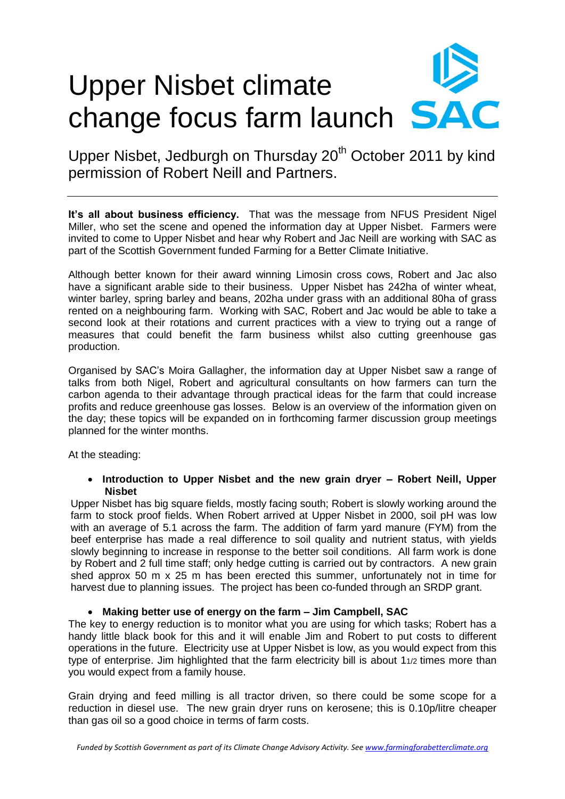# Upper Nisbet climate change focus farm launch **SAC**

Upper Nisbet, Jedburgh on Thursday 20<sup>th</sup> October 2011 by kind permission of Robert Neill and Partners.

**It's all about business efficiency.** That was the message from NFUS President Nigel Miller, who set the scene and opened the information day at Upper Nisbet. Farmers were invited to come to Upper Nisbet and hear why Robert and Jac Neill are working with SAC as part of the Scottish Government funded Farming for a Better Climate Initiative.

Although better known for their award winning Limosin cross cows, Robert and Jac also have a significant arable side to their business. Upper Nisbet has 242ha of winter wheat, winter barley, spring barley and beans, 202ha under grass with an additional 80ha of grass rented on a neighbouring farm. Working with SAC, Robert and Jac would be able to take a second look at their rotations and current practices with a view to trying out a range of measures that could benefit the farm business whilst also cutting greenhouse gas production.

Organised by SAC's Moira Gallagher, the information day at Upper Nisbet saw a range of talks from both Nigel, Robert and agricultural consultants on how farmers can turn the carbon agenda to their advantage through practical ideas for the farm that could increase profits and reduce greenhouse gas losses. Below is an overview of the information given on the day; these topics will be expanded on in forthcoming farmer discussion group meetings planned for the winter months.

At the steading:

#### **Introduction to Upper Nisbet and the new grain dryer – Robert Neill, Upper Nisbet**

Upper Nisbet has big square fields, mostly facing south; Robert is slowly working around the farm to stock proof fields. When Robert arrived at Upper Nisbet in 2000, soil pH was low with an average of 5.1 across the farm. The addition of farm yard manure (FYM) from the beef enterprise has made a real difference to soil quality and nutrient status, with yields slowly beginning to increase in response to the better soil conditions. All farm work is done by Robert and 2 full time staff; only hedge cutting is carried out by contractors. A new grain shed approx 50 m x 25 m has been erected this summer, unfortunately not in time for harvest due to planning issues. The project has been co-funded through an SRDP grant.

## **Making better use of energy on the farm – Jim Campbell, SAC**

The key to energy reduction is to monitor what you are using for which tasks; Robert has a handy little black book for this and it will enable Jim and Robert to put costs to different operations in the future. Electricity use at Upper Nisbet is low, as you would expect from this type of enterprise. Jim highlighted that the farm electricity bill is about 11/2 times more than you would expect from a family house.

Grain drying and feed milling is all tractor driven, so there could be some scope for a reduction in diesel use. The new grain dryer runs on kerosene; this is 0.10p/litre cheaper than gas oil so a good choice in terms of farm costs.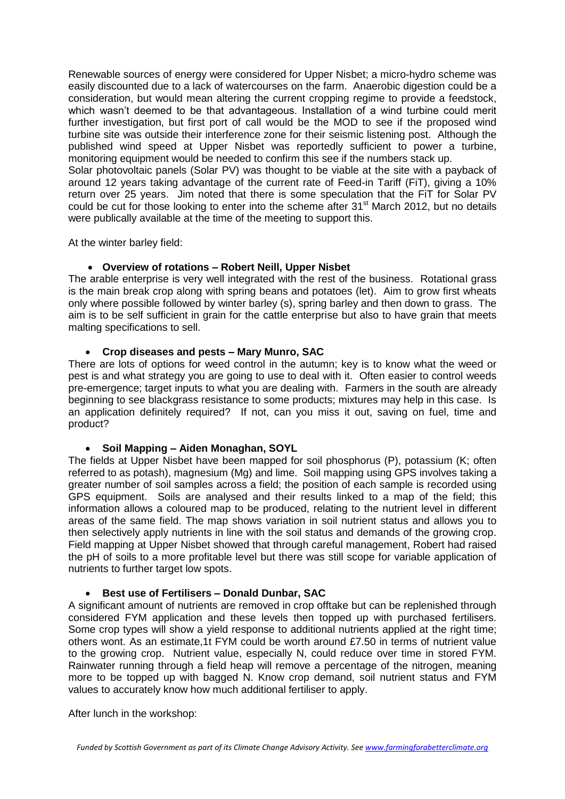Renewable sources of energy were considered for Upper Nisbet; a micro-hydro scheme was easily discounted due to a lack of watercourses on the farm. Anaerobic digestion could be a consideration, but would mean altering the current cropping regime to provide a feedstock, which wasn't deemed to be that advantageous. Installation of a wind turbine could merit further investigation, but first port of call would be the MOD to see if the proposed wind turbine site was outside their interference zone for their seismic listening post. Although the published wind speed at Upper Nisbet was reportedly sufficient to power a turbine, monitoring equipment would be needed to confirm this see if the numbers stack up.

Solar photovoltaic panels (Solar PV) was thought to be viable at the site with a payback of around 12 years taking advantage of the current rate of Feed-in Tariff (FiT), giving a 10% return over 25 years. Jim noted that there is some speculation that the FiT for Solar PV could be cut for those looking to enter into the scheme after 31<sup>st</sup> March 2012, but no details were publically available at the time of the meeting to support this.

At the winter barley field:

#### **Overview of rotations – Robert Neill, Upper Nisbet**

The arable enterprise is very well integrated with the rest of the business. Rotational grass is the main break crop along with spring beans and potatoes (let). Aim to grow first wheats only where possible followed by winter barley (s), spring barley and then down to grass. The aim is to be self sufficient in grain for the cattle enterprise but also to have grain that meets malting specifications to sell.

### **Crop diseases and pests – Mary Munro, SAC**

There are lots of options for weed control in the autumn; key is to know what the weed or pest is and what strategy you are going to use to deal with it. Often easier to control weeds pre-emergence; target inputs to what you are dealing with. Farmers in the south are already beginning to see blackgrass resistance to some products; mixtures may help in this case. Is an application definitely required? If not, can you miss it out, saving on fuel, time and product?

#### **Soil Mapping – Aiden Monaghan, SOYL**

The fields at Upper Nisbet have been mapped for soil phosphorus (P), potassium (K; often referred to as potash), magnesium (Mg) and lime. Soil mapping using GPS involves taking a greater number of soil samples across a field; the position of each sample is recorded using GPS equipment. Soils are analysed and their results linked to a map of the field; this information allows a coloured map to be produced, relating to the nutrient level in different areas of the same field. The map shows variation in soil nutrient status and allows you to then selectively apply nutrients in line with the soil status and demands of the growing crop. Field mapping at Upper Nisbet showed that through careful management, Robert had raised the pH of soils to a more profitable level but there was still scope for variable application of nutrients to further target low spots.

#### **Best use of Fertilisers – Donald Dunbar, SAC**

A significant amount of nutrients are removed in crop offtake but can be replenished through considered FYM application and these levels then topped up with purchased fertilisers. Some crop types will show a yield response to additional nutrients applied at the right time; others wont. As an estimate,1t FYM could be worth around £7.50 in terms of nutrient value to the growing crop. Nutrient value, especially N, could reduce over time in stored FYM. Rainwater running through a field heap will remove a percentage of the nitrogen, meaning more to be topped up with bagged N. Know crop demand, soil nutrient status and FYM values to accurately know how much additional fertiliser to apply.

After lunch in the workshop: